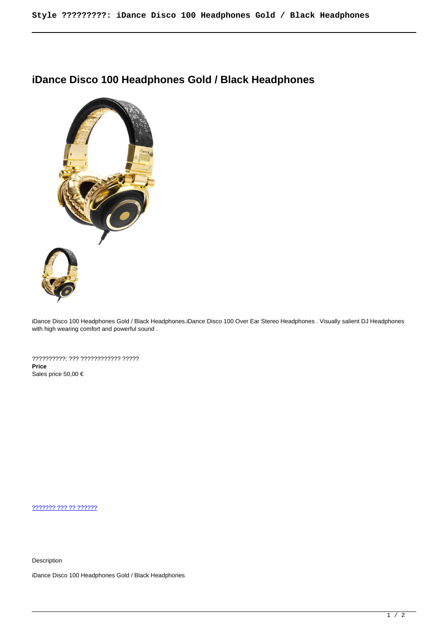## **iDance Disco 100 Headphones Gold / Black Headphones**



iDance Disco 100 Headphones Gold / Black Headphones.iDance Disco 100 Over Ear Stereo Headphones . Visually salient DJ Headphones with high wearing comfort and powerful sound .

??????????: ??? ???????????? ????? **Price**  Sales price 50,00 €

[??????? ??? ?? ??????](https://audiohouse.gr/index.php?option=com_virtuemart&view=productdetails&task=askquestion&virtuemart_product_id=290&virtuemart_category_id=50&tmpl=component)

Description

iDance Disco 100 Headphones Gold / Black Headphones